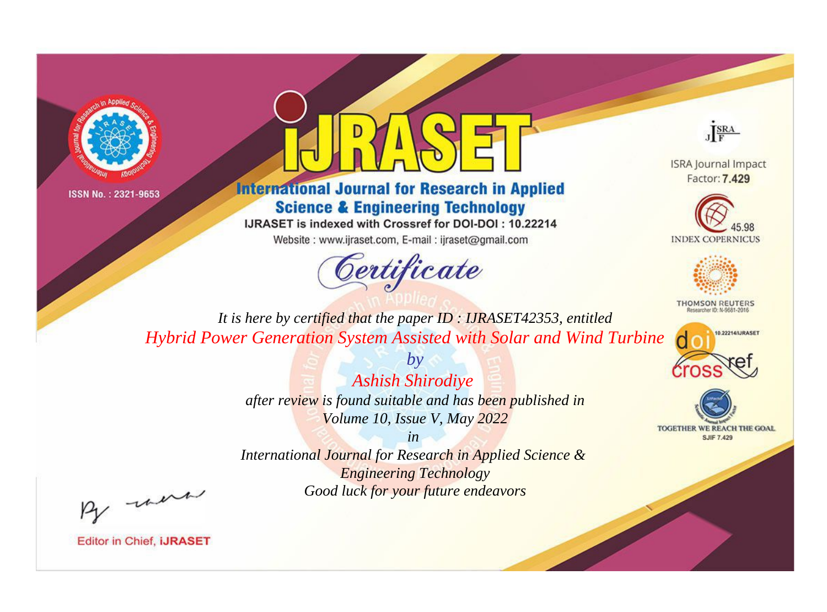



**International Journal for Research in Applied Science & Engineering Technology** 

IJRASET is indexed with Crossref for DOI-DOI: 10.22214

Website: www.ijraset.com, E-mail: ijraset@gmail.com



JERA

**ISRA Journal Impact** Factor: 7.429





**THOMSON REUTERS** 



TOGETHER WE REACH THE GOAL **SJIF 7.429** 

*It is here by certified that the paper ID : IJRASET42353, entitled Hybrid Power Generation System Assisted with Solar and Wind Turbine*

> *by Ashish Shirodiye after review is found suitable and has been published in Volume 10, Issue V, May 2022*

> > *in*

*International Journal for Research in Applied Science & Engineering Technology Good luck for your future endeavors*

By morn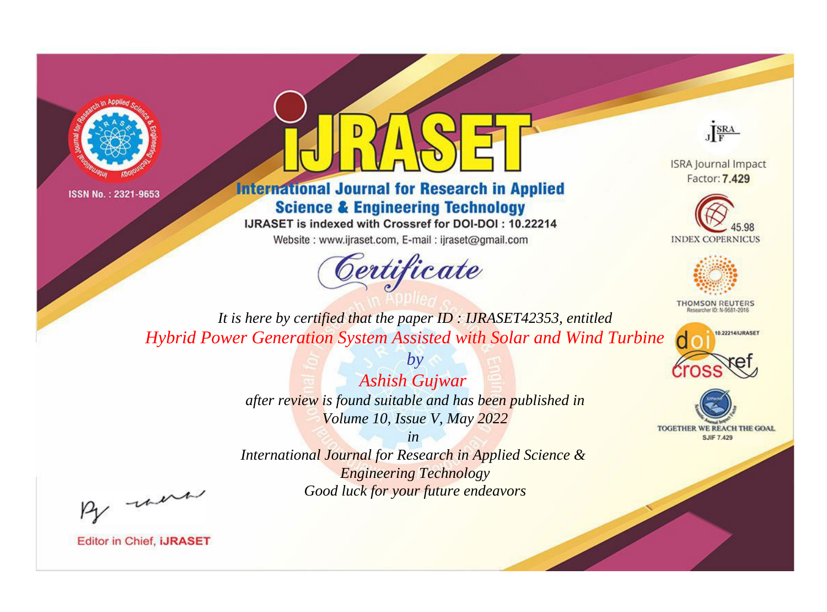



**International Journal for Research in Applied Science & Engineering Technology** 

IJRASET is indexed with Crossref for DOI-DOI: 10.22214

Website: www.ijraset.com, E-mail: ijraset@gmail.com



JERA

**ISRA Journal Impact** Factor: 7.429





**THOMSON REUTERS** 



TOGETHER WE REACH THE GOAL **SJIF 7.429** 

*It is here by certified that the paper ID : IJRASET42353, entitled Hybrid Power Generation System Assisted with Solar and Wind Turbine*

> *Ashish Gujwar after review is found suitable and has been published in Volume 10, Issue V, May 2022*

*by*

*in* 

*International Journal for Research in Applied Science & Engineering Technology Good luck for your future endeavors*

By morn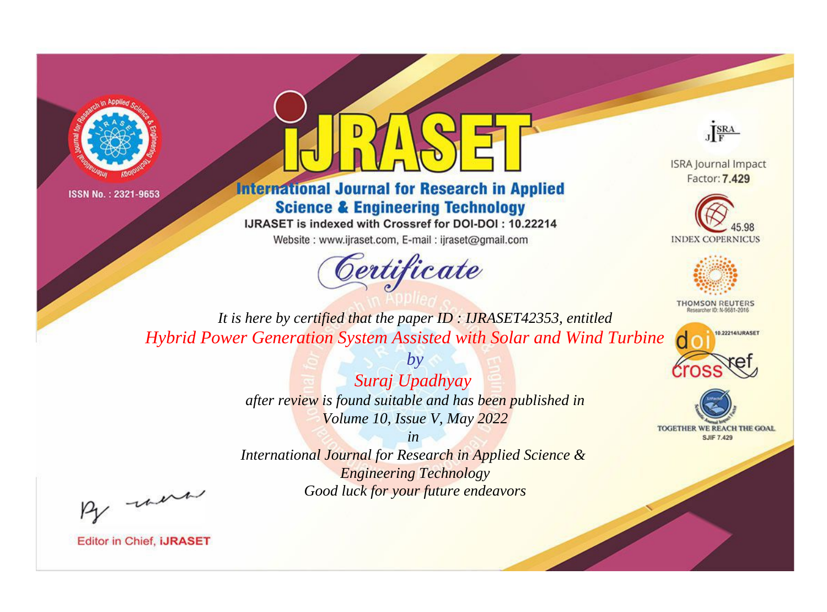



**International Journal for Research in Applied Science & Engineering Technology** 

IJRASET is indexed with Crossref for DOI-DOI: 10.22214

Website: www.ijraset.com, E-mail: ijraset@gmail.com



JERA

**ISRA Journal Impact** Factor: 7.429





**THOMSON REUTERS** 



TOGETHER WE REACH THE GOAL **SJIF 7.429** 

*It is here by certified that the paper ID : IJRASET42353, entitled Hybrid Power Generation System Assisted with Solar and Wind Turbine*

> *by Suraj Upadhyay after review is found suitable and has been published in Volume 10, Issue V, May 2022*

> > *in*

*International Journal for Research in Applied Science & Engineering Technology Good luck for your future endeavors*

By morn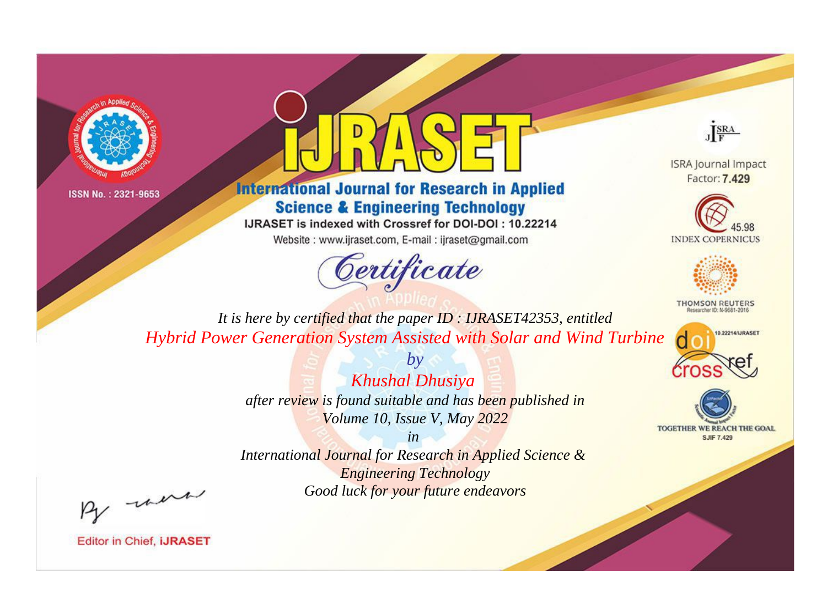



**International Journal for Research in Applied Science & Engineering Technology** 

IJRASET is indexed with Crossref for DOI-DOI: 10.22214

Website: www.ijraset.com, E-mail: ijraset@gmail.com



JERA

**ISRA Journal Impact** Factor: 7.429





**THOMSON REUTERS** 



TOGETHER WE REACH THE GOAL **SJIF 7.429** 

*It is here by certified that the paper ID : IJRASET42353, entitled Hybrid Power Generation System Assisted with Solar and Wind Turbine*

> *Khushal Dhusiya after review is found suitable and has been published in Volume 10, Issue V, May 2022*

*by*

*in* 

*International Journal for Research in Applied Science & Engineering Technology Good luck for your future endeavors*

By morn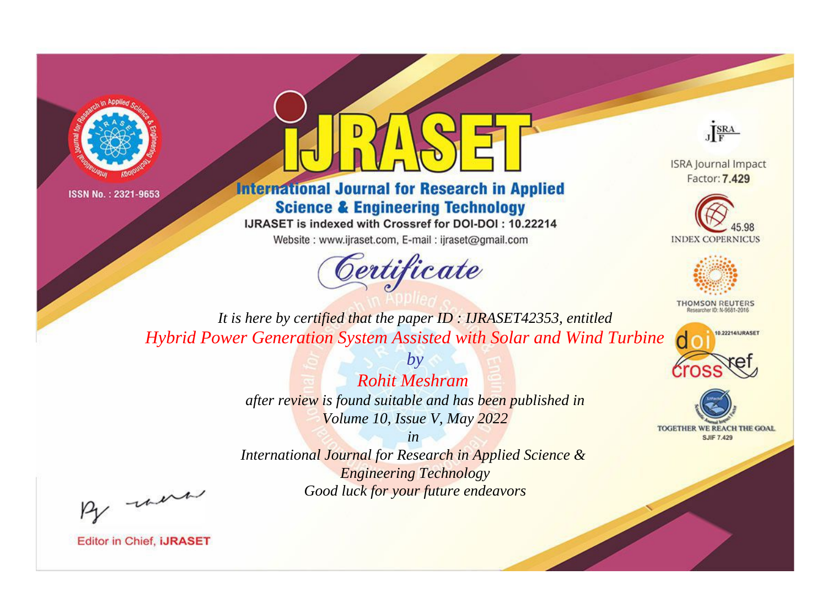



**International Journal for Research in Applied Science & Engineering Technology** 

IJRASET is indexed with Crossref for DOI-DOI: 10.22214

Website: www.ijraset.com, E-mail: ijraset@gmail.com



JERA

**ISRA Journal Impact** Factor: 7.429





**THOMSON REUTERS** 



TOGETHER WE REACH THE GOAL **SJIF 7.429** 

*It is here by certified that the paper ID : IJRASET42353, entitled Hybrid Power Generation System Assisted with Solar and Wind Turbine*

> *Rohit Meshram after review is found suitable and has been published in Volume 10, Issue V, May 2022*

*by*

*in* 

*International Journal for Research in Applied Science & Engineering Technology Good luck for your future endeavors*

By morn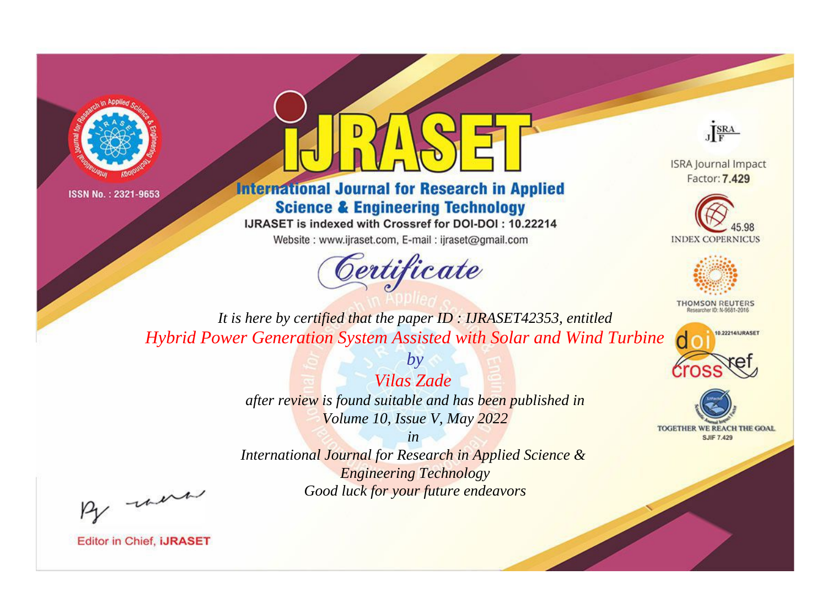



**International Journal for Research in Applied Science & Engineering Technology** 

IJRASET is indexed with Crossref for DOI-DOI: 10.22214

Website: www.ijraset.com, E-mail: ijraset@gmail.com



JERA

**ISRA Journal Impact** Factor: 7.429





**THOMSON REUTERS** 



TOGETHER WE REACH THE GOAL **SJIF 7.429** 

*It is here by certified that the paper ID : IJRASET42353, entitled Hybrid Power Generation System Assisted with Solar and Wind Turbine*

> *Vilas Zade after review is found suitable and has been published in Volume 10, Issue V, May 2022*

*by*

*in* 

*International Journal for Research in Applied Science & Engineering Technology Good luck for your future endeavors*

By morn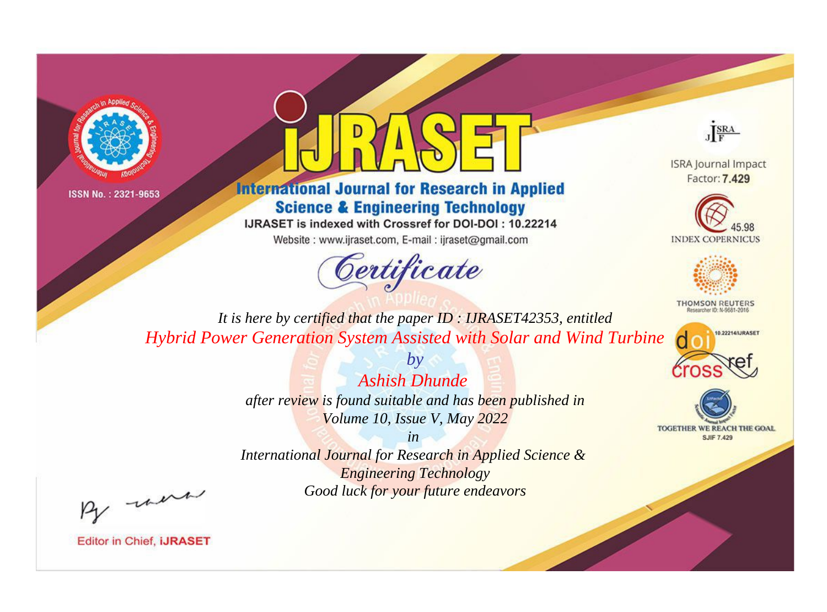



**International Journal for Research in Applied Science & Engineering Technology** 

IJRASET is indexed with Crossref for DOI-DOI: 10.22214

Website: www.ijraset.com, E-mail: ijraset@gmail.com



JERA

**ISRA Journal Impact** Factor: 7.429





**THOMSON REUTERS** 



TOGETHER WE REACH THE GOAL **SJIF 7.429** 

*It is here by certified that the paper ID : IJRASET42353, entitled Hybrid Power Generation System Assisted with Solar and Wind Turbine*

> *Ashish Dhunde after review is found suitable and has been published in Volume 10, Issue V, May 2022*

*by*

*in* 

*International Journal for Research in Applied Science & Engineering Technology Good luck for your future endeavors*

By morn